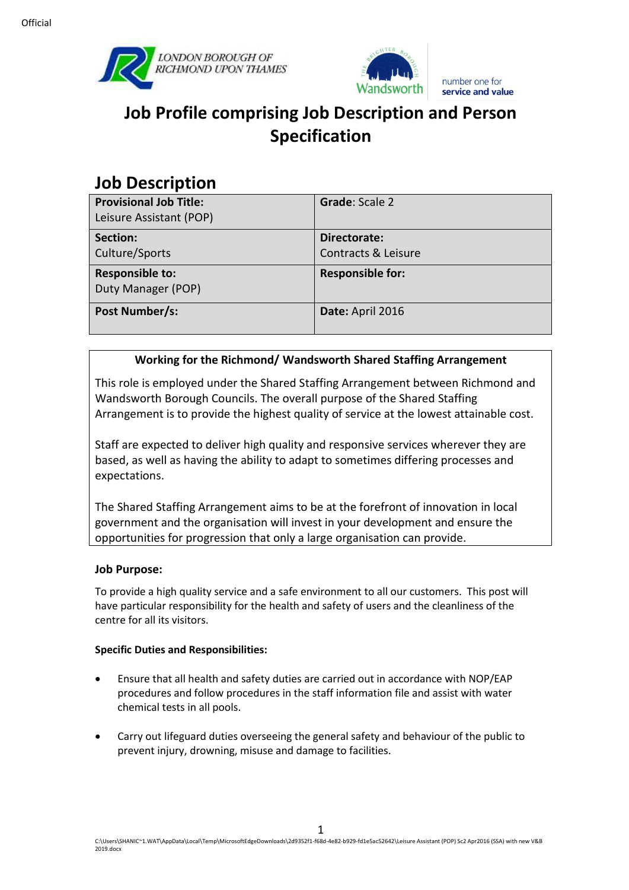



# **Job Profile comprising Job Description and Person Specification**

## **Job Description**

| <b>Provisional Job Title:</b><br>Leisure Assistant (POP) | Grade: Scale 2                      |
|----------------------------------------------------------|-------------------------------------|
| Section:<br>Culture/Sports                               | Directorate:<br>Contracts & Leisure |
| <b>Responsible to:</b><br>Duty Manager (POP)             | <b>Responsible for:</b>             |
| Post Number/s:                                           | Date: April 2016                    |

### **Working for the Richmond/ Wandsworth Shared Staffing Arrangement**

This role is employed under the Shared Staffing Arrangement between Richmond and Wandsworth Borough Councils. The overall purpose of the Shared Staffing Arrangement is to provide the highest quality of service at the lowest attainable cost.

Staff are expected to deliver high quality and responsive services wherever they are based, as well as having the ability to adapt to sometimes differing processes and expectations.

The Shared Staffing Arrangement aims to be at the forefront of innovation in local government and the organisation will invest in your development and ensure the opportunities for progression that only a large organisation can provide.

#### **Job Purpose:**

To provide a high quality service and a safe environment to all our customers. This post will have particular responsibility for the health and safety of users and the cleanliness of the centre for all its visitors.

#### **Specific Duties and Responsibilities:**

- Ensure that all health and safety duties are carried out in accordance with NOP/EAP procedures and follow procedures in the staff information file and assist with water chemical tests in all pools.
- Carry out lifeguard duties overseeing the general safety and behaviour of the public to prevent injury, drowning, misuse and damage to facilities.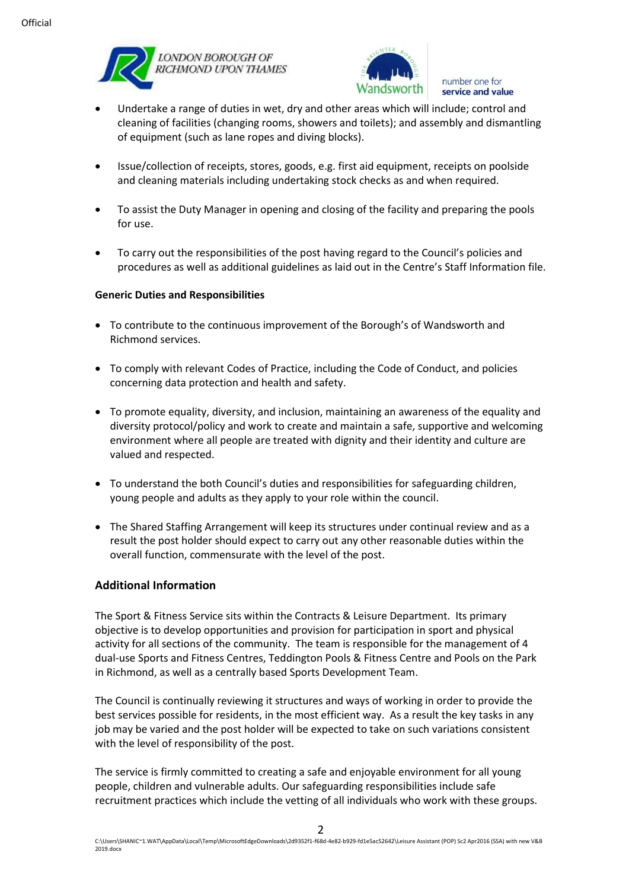



number one for service and value

- Undertake a range of duties in wet, dry and other areas which will include; control and cleaning of facilities (changing rooms, showers and toilets); and assembly and dismantling of equipment (such as lane ropes and diving blocks).
- Issue/collection of receipts, stores, goods, e.g. first aid equipment, receipts on poolside and cleaning materials including undertaking stock checks as and when required.
- To assist the Duty Manager in opening and closing of the facility and preparing the pools for use.
- To carry out the responsibilities of the post having regard to the Council's policies and procedures as well as additional guidelines as laid out in the Centre's Staff Information file.

#### **Generic Duties and Responsibilities**

- To contribute to the continuous improvement of the Borough's of Wandsworth and Richmond services.
- To comply with relevant Codes of Practice, including the Code of Conduct, and policies concerning data protection and health and safety.
- To promote equality, diversity, and inclusion, maintaining an awareness of the equality and diversity protocol/policy and work to create and maintain a safe, supportive and welcoming environment where all people are treated with dignity and their identity and culture are valued and respected.
- To understand the both Council's duties and responsibilities for safeguarding children, young people and adults as they apply to your role within the council.
- The Shared Staffing Arrangement will keep its structures under continual review and as a result the post holder should expect to carry out any other reasonable duties within the overall function, commensurate with the level of the post.

#### **Additional Information**

The Sport & Fitness Service sits within the Contracts & Leisure Department. Its primary objective is to develop opportunities and provision for participation in sport and physical activity for all sections of the community. The team is responsible for the management of 4 dual-use Sports and Fitness Centres, Teddington Pools & Fitness Centre and Pools on the Park in Richmond, as well as a centrally based Sports Development Team.

The Council is continually reviewing it structures and ways of working in order to provide the best services possible for residents, in the most efficient way. As a result the key tasks in any job may be varied and the post holder will be expected to take on such variations consistent with the level of responsibility of the post.

The service is firmly committed to creating a safe and enjoyable environment for all young people, children and vulnerable adults. Our safeguarding responsibilities include safe recruitment practices which include the vetting of all individuals who work with these groups.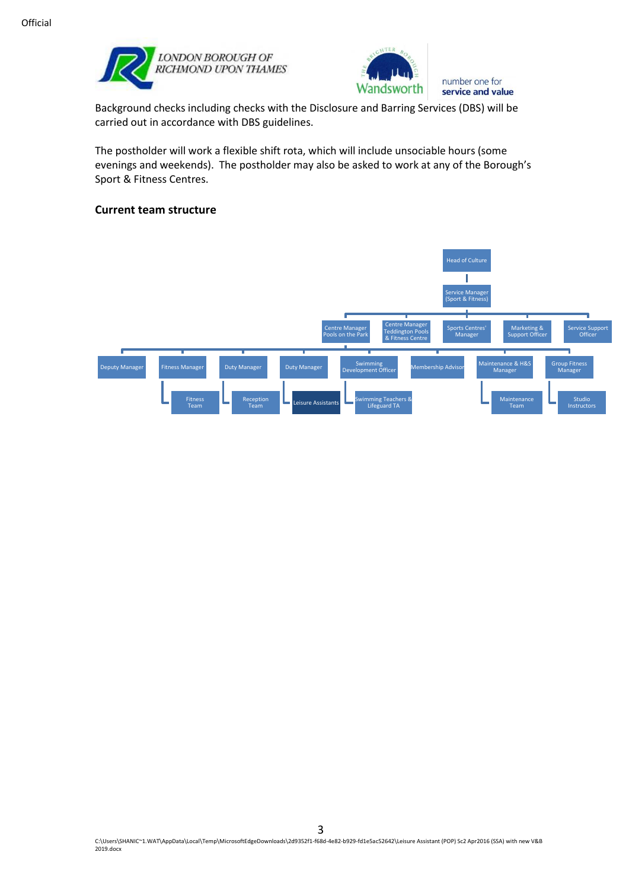



number one for service and value

Background checks including checks with the Disclosure and Barring Services (DBS) will be carried out in accordance with DBS guidelines.

The postholder will work a flexible shift rota, which will include unsociable hours (some evenings and weekends). The postholder may also be asked to work at any of the Borough's Sport & Fitness Centres.

#### **Current team structure**

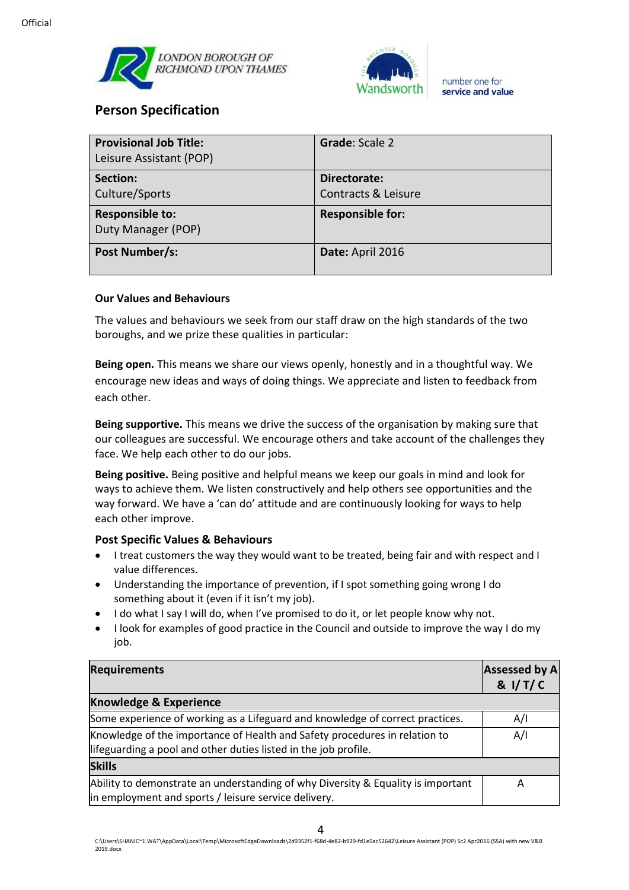



## **Person Specification**

| <b>Provisional Job Title:</b><br>Leisure Assistant (POP) | <b>Grade: Scale 2</b>               |
|----------------------------------------------------------|-------------------------------------|
| Section:<br>Culture/Sports                               | Directorate:<br>Contracts & Leisure |
| <b>Responsible to:</b><br>Duty Manager (POP)             | <b>Responsible for:</b>             |
| Post Number/s:                                           | Date: April 2016                    |

#### **Our Values and Behaviours**

The values and behaviours we seek from our staff draw on the high standards of the two boroughs, and we prize these qualities in particular:

**Being open.** This means we share our views openly, honestly and in a thoughtful way. We encourage new ideas and ways of doing things. We appreciate and listen to feedback from each other.

**Being supportive.** This means we drive the success of the organisation by making sure that our colleagues are successful. We encourage others and take account of the challenges they face. We help each other to do our jobs.

**Being positive.** Being positive and helpful means we keep our goals in mind and look for ways to achieve them. We listen constructively and help others see opportunities and the way forward. We have a 'can do' attitude and are continuously looking for ways to help each other improve.

#### **Post Specific Values & Behaviours**

- I treat customers the way they would want to be treated, being fair and with respect and I value differences.
- Understanding the importance of prevention, if I spot something going wrong I do something about it (even if it isn't my job).
- I do what I say I will do, when I've promised to do it, or let people know why not.
- I look for examples of good practice in the Council and outside to improve the way I do my iob.

| <b>Requirements</b>                                                                                                                           | <b>Assessed by A</b><br>& I/T/C |
|-----------------------------------------------------------------------------------------------------------------------------------------------|---------------------------------|
| <b>Knowledge &amp; Experience</b>                                                                                                             |                                 |
| Some experience of working as a Lifeguard and knowledge of correct practices.                                                                 | A/I                             |
| Knowledge of the importance of Health and Safety procedures in relation to<br>lifeguarding a pool and other duties listed in the job profile. | A/I                             |
| <b>Skills</b>                                                                                                                                 |                                 |
| Ability to demonstrate an understanding of why Diversity & Equality is important<br>in employment and sports / leisure service delivery.      | А                               |